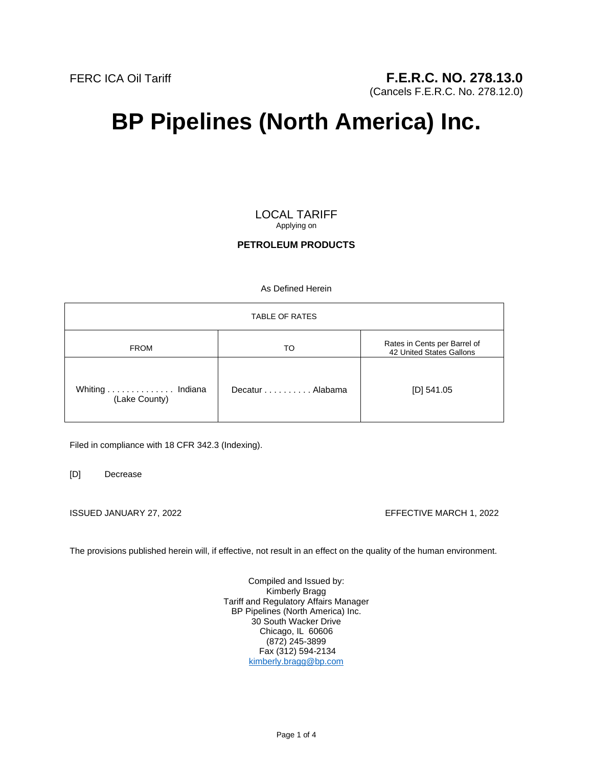(Cancels F.E.R.C. No. 278.12.0)

# **BP Pipelines (North America) Inc.**

LOCAL TARIFF Applying on

# **PETROLEUM PRODUCTS**

As Defined Herein

| <b>TABLE OF RATES</b>            |                 |                                                          |
|----------------------------------|-----------------|----------------------------------------------------------|
| <b>FROM</b>                      | TO              | Rates in Cents per Barrel of<br>42 United States Gallons |
| Whiting Indiana<br>(Lake County) | Decatur Alabama | [D] $541.05$                                             |

Filed in compliance with 18 CFR 342.3 (Indexing).

[D] Decrease

ISSUED JANUARY 27, 2022 EFFECTIVE MARCH 1, 2022

The provisions published herein will, if effective, not result in an effect on the quality of the human environment.

Compiled and Issued by: Kimberly Bragg Tariff and Regulatory Affairs Manager BP Pipelines (North America) Inc. 30 South Wacker Drive Chicago, IL 60606 (872) 245-3899 Fax (312) 594-2134 kimberly.bragg@bp.com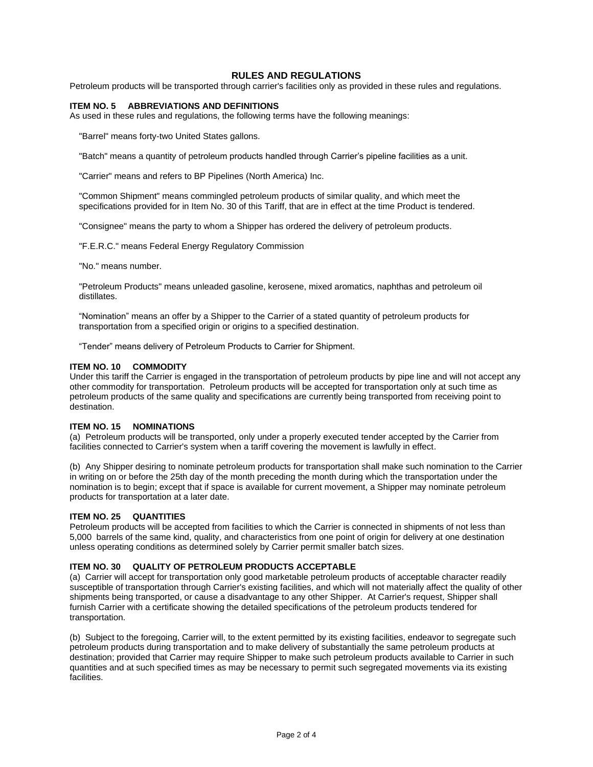# **RULES AND REGULATIONS**

Petroleum products will be transported through carrier's facilities only as provided in these rules and regulations.

# **ITEM NO. 5 ABBREVIATIONS AND DEFINITIONS**

As used in these rules and regulations, the following terms have the following meanings:

"Barrel" means forty-two United States gallons.

"Batch" means a quantity of petroleum products handled through Carrier's pipeline facilities as a unit.

"Carrier" means and refers to BP Pipelines (North America) Inc.

"Common Shipment" means commingled petroleum products of similar quality, and which meet the specifications provided for in Item No. 30 of this Tariff, that are in effect at the time Product is tendered.

"Consignee" means the party to whom a Shipper has ordered the delivery of petroleum products.

"F.E.R.C." means Federal Energy Regulatory Commission

"No." means number.

"Petroleum Products" means unleaded gasoline, kerosene, mixed aromatics, naphthas and petroleum oil distillates.

"Nomination" means an offer by a Shipper to the Carrier of a stated quantity of petroleum products for transportation from a specified origin or origins to a specified destination.

"Tender" means delivery of Petroleum Products to Carrier for Shipment.

#### **ITEM NO. 10 COMMODITY**

Under this tariff the Carrier is engaged in the transportation of petroleum products by pipe line and will not accept any other commodity for transportation. Petroleum products will be accepted for transportation only at such time as petroleum products of the same quality and specifications are currently being transported from receiving point to destination.

#### **ITEM NO. 15 NOMINATIONS**

(a) Petroleum products will be transported, only under a properly executed tender accepted by the Carrier from facilities connected to Carrier's system when a tariff covering the movement is lawfully in effect.

(b) Any Shipper desiring to nominate petroleum products for transportation shall make such nomination to the Carrier in writing on or before the 25th day of the month preceding the month during which the transportation under the nomination is to begin; except that if space is available for current movement, a Shipper may nominate petroleum products for transportation at a later date.

#### **ITEM NO. 25 QUANTITIES**

Petroleum products will be accepted from facilities to which the Carrier is connected in shipments of not less than 5,000 barrels of the same kind, quality, and characteristics from one point of origin for delivery at one destination unless operating conditions as determined solely by Carrier permit smaller batch sizes.

#### **ITEM NO. 30 QUALITY OF PETROLEUM PRODUCTS ACCEPTABLE**

(a) Carrier will accept for transportation only good marketable petroleum products of acceptable character readily susceptible of transportation through Carrier's existing facilities, and which will not materially affect the quality of other shipments being transported, or cause a disadvantage to any other Shipper. At Carrier's request, Shipper shall furnish Carrier with a certificate showing the detailed specifications of the petroleum products tendered for transportation.

(b) Subject to the foregoing, Carrier will, to the extent permitted by its existing facilities, endeavor to segregate such petroleum products during transportation and to make delivery of substantially the same petroleum products at destination; provided that Carrier may require Shipper to make such petroleum products available to Carrier in such quantities and at such specified times as may be necessary to permit such segregated movements via its existing facilities.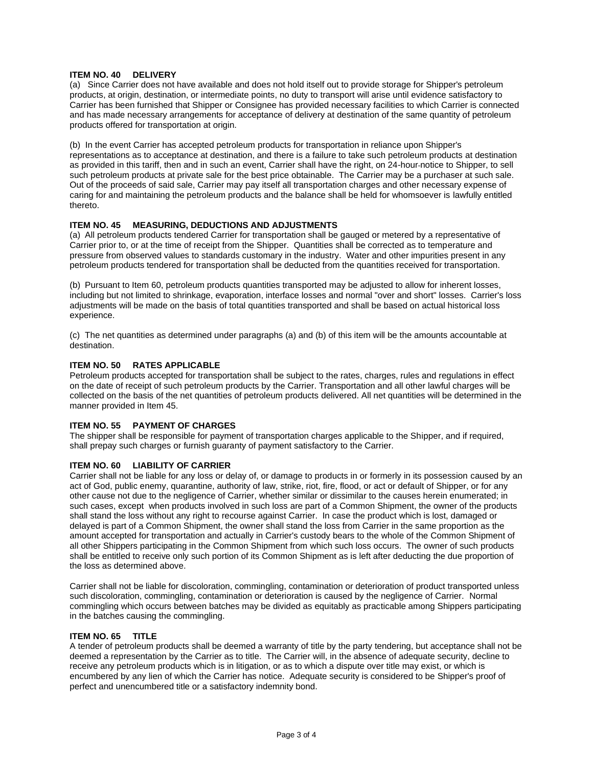# **ITEM NO. 40 DELIVERY**

(a) Since Carrier does not have available and does not hold itself out to provide storage for Shipper's petroleum products, at origin, destination, or intermediate points, no duty to transport will arise until evidence satisfactory to Carrier has been furnished that Shipper or Consignee has provided necessary facilities to which Carrier is connected and has made necessary arrangements for acceptance of delivery at destination of the same quantity of petroleum products offered for transportation at origin.

(b) In the event Carrier has accepted petroleum products for transportation in reliance upon Shipper's representations as to acceptance at destination, and there is a failure to take such petroleum products at destination as provided in this tariff, then and in such an event, Carrier shall have the right, on 24-hour notice to Shipper, to sell such petroleum products at private sale for the best price obtainable. The Carrier may be a purchaser at such sale. Out of the proceeds of said sale, Carrier may pay itself all transportation charges and other necessary expense of caring for and maintaining the petroleum products and the balance shall be held for whomsoever is lawfully entitled thereto.

# **ITEM NO. 45 MEASURING, DEDUCTIONS AND ADJUSTMENTS**

(a) All petroleum products tendered Carrier for transportation shall be gauged or metered by a representative of Carrier prior to, or at the time of receipt from the Shipper. Quantities shall be corrected as to temperature and pressure from observed values to standards customary in the industry. Water and other impurities present in any petroleum products tendered for transportation shall be deducted from the quantities received for transportation.

(b) Pursuant to Item 60, petroleum products quantities transported may be adjusted to allow for inherent losses, including but not limited to shrinkage, evaporation, interface losses and normal "over and short" losses. Carrier's loss adjustments will be made on the basis of total quantities transported and shall be based on actual historical loss experience.

(c) The net quantities as determined under paragraphs (a) and (b) of this item will be the amounts accountable at destination.

# **ITEM NO. 50 RATES APPLICABLE**

Petroleum products accepted for transportation shall be subject to the rates, charges, rules and regulations in effect on the date of receipt of such petroleum products by the Carrier. Transportation and all other lawful charges will be collected on the basis of the net quantities of petroleum products delivered. All net quantities will be determined in the manner provided in Item 45.

# **ITEM NO. 55 PAYMENT OF CHARGES**

The shipper shall be responsible for payment of transportation charges applicable to the Shipper, and if required, shall prepay such charges or furnish guaranty of payment satisfactory to the Carrier.

# **ITEM NO. 60 LIABILITY OF CARRIER**

Carrier shall not be liable for any loss or delay of, or damage to products in or formerly in its possession caused by an act of God, public enemy, quarantine, authority of law, strike, riot, fire, flood, or act or default of Shipper, or for any other cause not due to the negligence of Carrier, whether similar or dissimilar to the causes herein enumerated; in such cases, except when products involved in such loss are part of a Common Shipment, the owner of the products shall stand the loss without any right to recourse against Carrier. In case the product which is lost, damaged or delayed is part of a Common Shipment, the owner shall stand the loss from Carrier in the same proportion as the amount accepted for transportation and actually in Carrier's custody bears to the whole of the Common Shipment of all other Shippers participating in the Common Shipment from which such loss occurs. The owner of such products shall be entitled to receive only such portion of its Common Shipment as is left after deducting the due proportion of the loss as determined above.

Carrier shall not be liable for discoloration, commingling, contamination or deterioration of product transported unless such discoloration, commingling, contamination or deterioration is caused by the negligence of Carrier. Normal commingling which occurs between batches may be divided as equitably as practicable among Shippers participating in the batches causing the commingling.

# **ITEM NO. 65 TITLE**

A tender of petroleum products shall be deemed a warranty of title by the party tendering, but acceptance shall not be deemed a representation by the Carrier as to title. The Carrier will, in the absence of adequate security, decline to receive any petroleum products which is in litigation, or as to which a dispute over title may exist, or which is encumbered by any lien of which the Carrier has notice. Adequate security is considered to be Shipper's proof of perfect and unencumbered title or a satisfactory indemnity bond.